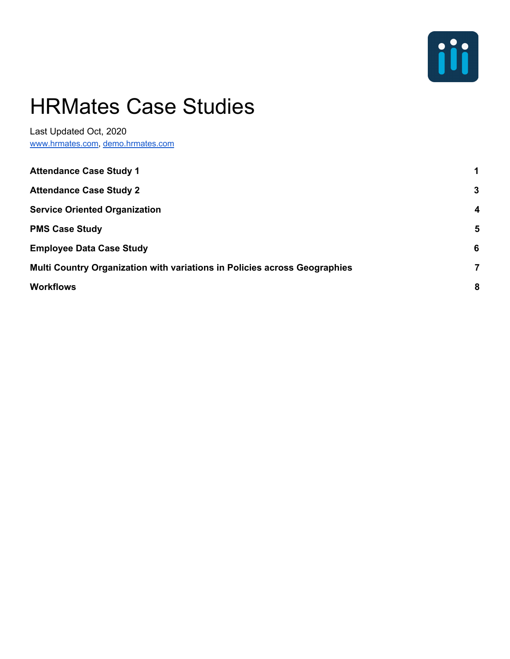

# HRMates Case Studies

Last Updated Oct, 2020 [www.hrmates.com](http://www.hrmates.com/), [demo.hrmates.com](http://demo.hrmates.com/)

<span id="page-0-0"></span>

| <b>Attendance Case Study 1</b>                                            | 1            |
|---------------------------------------------------------------------------|--------------|
| <b>Attendance Case Study 2</b>                                            | $\mathbf{3}$ |
| <b>Service Oriented Organization</b>                                      | 4            |
| <b>PMS Case Study</b>                                                     | 5            |
| <b>Employee Data Case Study</b>                                           | 6            |
| Multi Country Organization with variations in Policies across Geographies | 7            |
| <b>Workflows</b>                                                          | 8            |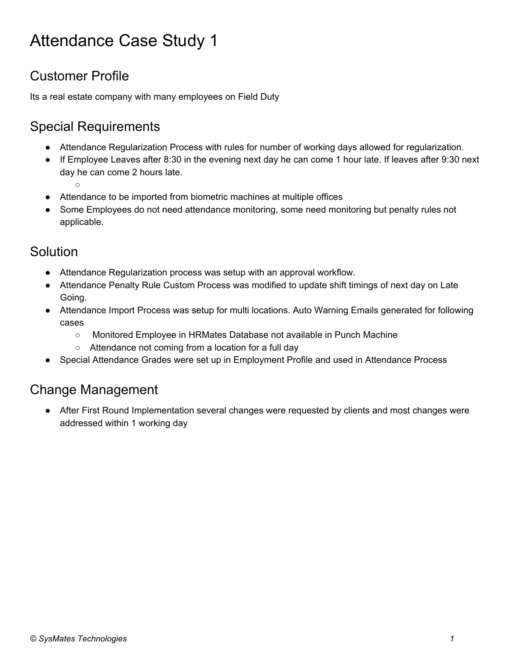## Attendance Case Study 1

## Customer Profile

Its a real estate company with many employees on Field Duty

## Special Requirements

- Attendance Regularization Process with rules for number of working days allowed for regularization.
- If Employee Leaves after 8:30 in the evening next day he can come 1 hour late. If leaves after 9:30 next day he can come 2 hours late.

○

- Attendance to be imported from biometric machines at multiple offices
- Some Employees do not need attendance monitoring, some need monitoring but penalty rules not applicable.

#### Solution

- Attendance Regularization process was setup with an approval workflow.
- Attendance Penalty Rule Custom Process was modified to update shift timings of next day on Late Going.
- Attendance Import Process was setup for multi locations. Auto Warning Emails generated for following cases
	- Monitored Employee in HRMates Database not available in Punch Machine
	- Attendance not coming from a location for a full day
- Special Attendance Grades were set up in Employment Profile and used in Attendance Process

#### Change Management

After First Round Implementation several changes were requested by clients and most changes were addressed within 1 working day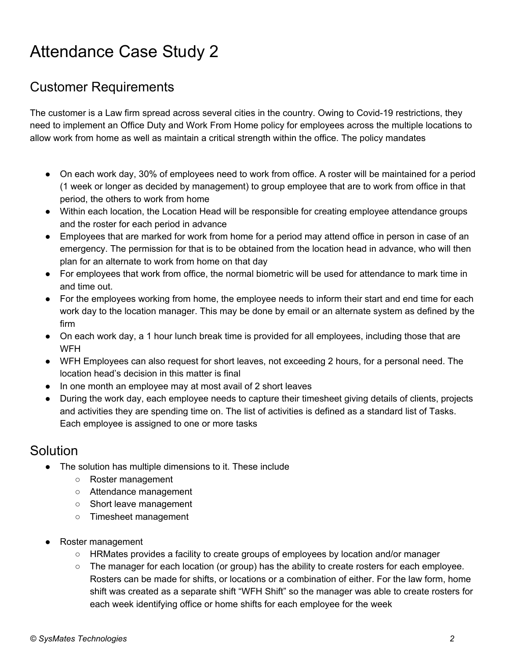## <span id="page-2-0"></span>Attendance Case Study 2

#### Customer Requirements

The customer is a Law firm spread across several cities in the country. Owing to Covid-19 restrictions, they need to implement an Office Duty and Work From Home policy for employees across the multiple locations to allow work from home as well as maintain a critical strength within the office. The policy mandates

- On each work day, 30% of employees need to work from office. A roster will be maintained for a period (1 week or longer as decided by management) to group employee that are to work from office in that period, the others to work from home
- Within each location, the Location Head will be responsible for creating employee attendance groups and the roster for each period in advance
- Employees that are marked for work from home for a period may attend office in person in case of an emergency. The permission for that is to be obtained from the location head in advance, who will then plan for an alternate to work from home on that day
- For employees that work from office, the normal biometric will be used for attendance to mark time in and time out.
- For the employees working from home, the employee needs to inform their start and end time for each work day to the location manager. This may be done by email or an alternate system as defined by the firm
- On each work day, a 1 hour lunch break time is provided for all employees, including those that are WFH
- WFH Employees can also request for short leaves, not exceeding 2 hours, for a personal need. The location head's decision in this matter is final
- In one month an employee may at most avail of 2 short leaves
- During the work day, each employee needs to capture their timesheet giving details of clients, projects and activities they are spending time on. The list of activities is defined as a standard list of Tasks. Each employee is assigned to one or more tasks

#### **Solution**

- The solution has multiple dimensions to it. These include
	- Roster management
	- Attendance management
	- Short leave management
	- Timesheet management
- Roster management
	- HRMates provides a facility to create groups of employees by location and/or manager
	- The manager for each location (or group) has the ability to create rosters for each employee. Rosters can be made for shifts, or locations or a combination of either. For the law form, home shift was created as a separate shift "WFH Shift" so the manager was able to create rosters for each week identifying office or home shifts for each employee for the week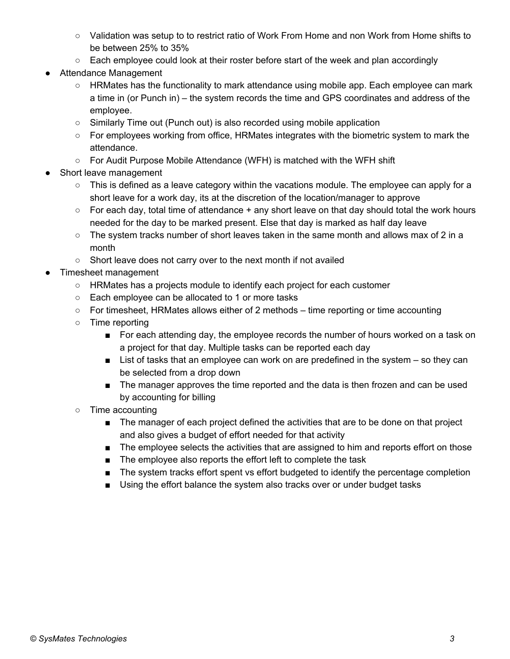- Validation was setup to to restrict ratio of Work From Home and non Work from Home shifts to be between 25% to 35%
- $\circ$  Each employee could look at their roster before start of the week and plan accordingly
- Attendance Management
	- HRMates has the functionality to mark attendance using mobile app. Each employee can mark a time in (or Punch in) – the system records the time and GPS coordinates and address of the employee.
	- Similarly Time out (Punch out) is also recorded using mobile application
	- For employees working from office, HRMates integrates with the biometric system to mark the attendance.
	- For Audit Purpose Mobile Attendance (WFH) is matched with the WFH shift
- Short leave management
	- $\circ$  This is defined as a leave category within the vacations module. The employee can apply for a short leave for a work day, its at the discretion of the location/manager to approve
	- $\circ$  For each day, total time of attendance  $+$  any short leave on that day should total the work hours needed for the day to be marked present. Else that day is marked as half day leave
	- The system tracks number of short leaves taken in the same month and allows max of 2 in a month
	- Short leave does not carry over to the next month if not availed
- Timesheet management
	- HRMates has a projects module to identify each project for each customer
	- Each employee can be allocated to 1 or more tasks
	- For timesheet, HRMates allows either of 2 methods time reporting or time accounting
	- Time reporting
		- For each attending day, the employee records the number of hours worked on a task on a project for that day. Multiple tasks can be reported each day
		- List of tasks that an employee can work on are predefined in the system so they can be selected from a drop down
		- The manager approves the time reported and the data is then frozen and can be used by accounting for billing
	- Time accounting
		- The manager of each project defined the activities that are to be done on that project and also gives a budget of effort needed for that activity
		- The employee selects the activities that are assigned to him and reports effort on those
		- The employee also reports the effort left to complete the task
		- The system tracks effort spent vs effort budgeted to identify the percentage completion
		- Using the effort balance the system also tracks over or under budget tasks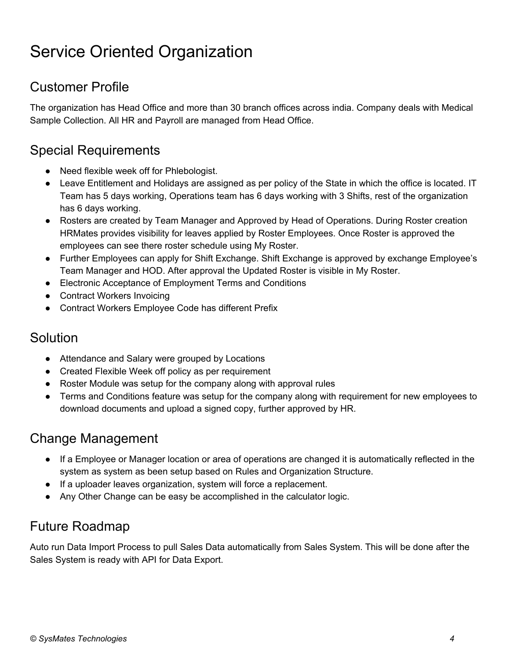## <span id="page-4-0"></span>Service Oriented Organization

### Customer Profile

The organization has Head Office and more than 30 branch offices across india. Company deals with Medical Sample Collection. All HR and Payroll are managed from Head Office.

#### Special Requirements

- Need flexible week off for Phlebologist.
- Leave Entitlement and Holidays are assigned as per policy of the State in which the office is located. IT Team has 5 days working, Operations team has 6 days working with 3 Shifts, rest of the organization has 6 days working.
- Rosters are created by Team Manager and Approved by Head of Operations. During Roster creation HRMates provides visibility for leaves applied by Roster Employees. Once Roster is approved the employees can see there roster schedule using My Roster.
- Further Employees can apply for Shift Exchange. Shift Exchange is approved by exchange Employee's Team Manager and HOD. After approval the Updated Roster is visible in My Roster.
- Electronic Acceptance of Employment Terms and Conditions
- Contract Workers Invoicing
- Contract Workers Employee Code has different Prefix

#### Solution

- Attendance and Salary were grouped by Locations
- Created Flexible Week off policy as per requirement
- Roster Module was setup for the company along with approval rules
- Terms and Conditions feature was setup for the company along with requirement for new employees to download documents and upload a signed copy, further approved by HR.

#### Change Management

- If a Employee or Manager location or area of operations are changed it is automatically reflected in the system as system as been setup based on Rules and Organization Structure.
- If a uploader leaves organization, system will force a replacement.
- Any Other Change can be easy be accomplished in the calculator logic.

#### Future Roadmap

Auto run Data Import Process to pull Sales Data automatically from Sales System. This will be done after the Sales System is ready with API for Data Export.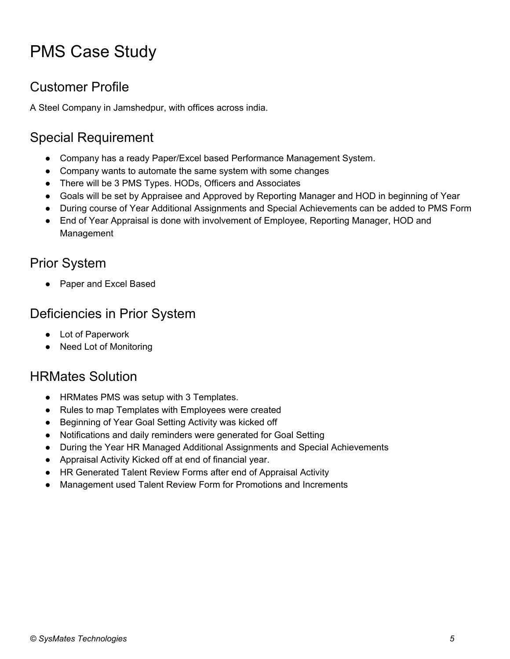## <span id="page-5-0"></span>PMS Case Study

## Customer Profile

A Steel Company in Jamshedpur, with offices across india.

## Special Requirement

- Company has a ready Paper/Excel based Performance Management System.
- Company wants to automate the same system with some changes
- There will be 3 PMS Types. HODs, Officers and Associates
- Goals will be set by Appraisee and Approved by Reporting Manager and HOD in beginning of Year
- During course of Year Additional Assignments and Special Achievements can be added to PMS Form
- End of Year Appraisal is done with involvement of Employee, Reporting Manager, HOD and Management

## Prior System

Paper and Excel Based

#### Deficiencies in Prior System

- Lot of Paperwork
- **Need Lot of Monitoring**

#### HRMates Solution

- HRMates PMS was setup with 3 Templates.
- Rules to map Templates with Employees were created
- Beginning of Year Goal Setting Activity was kicked off
- Notifications and daily reminders were generated for Goal Setting
- During the Year HR Managed Additional Assignments and Special Achievements
- Appraisal Activity Kicked off at end of financial year.
- HR Generated Talent Review Forms after end of Appraisal Activity
- Management used Talent Review Form for Promotions and Increments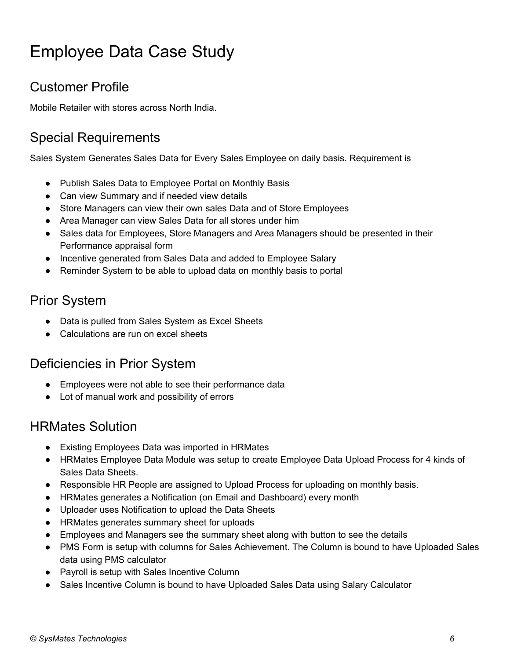## <span id="page-6-0"></span>Employee Data Case Study

### Customer Profile

Mobile Retailer with stores across North India.

## Special Requirements

Sales System Generates Sales Data for Every Sales Employee on daily basis. Requirement is

- Publish Sales Data to Employee Portal on Monthly Basis
- Can view Summary and if needed view details
- Store Managers can view their own sales Data and of Store Employees
- Area Manager can view Sales Data for all stores under him
- Sales data for Employees, Store Managers and Area Managers should be presented in their Performance appraisal form
- Incentive generated from Sales Data and added to Employee Salary
- Reminder System to be able to upload data on monthly basis to portal

## Prior System

- Data is pulled from Sales System as Excel Sheets
- Calculations are run on excel sheets

#### Deficiencies in Prior System

- Employees were not able to see their performance data
- Lot of manual work and possibility of errors

#### HRMates Solution

- Existing Employees Data was imported in HRMates
- HRMates Employee Data Module was setup to create Employee Data Upload Process for 4 kinds of Sales Data Sheets.
- Responsible HR People are assigned to Upload Process for uploading on monthly basis.
- HRMates generates a Notification (on Email and Dashboard) every month
- Uploader uses Notification to upload the Data Sheets
- HRMates generates summary sheet for uploads
- Employees and Managers see the summary sheet along with button to see the details
- PMS Form is setup with columns for Sales Achievement. The Column is bound to have Uploaded Sales data using PMS calculator
- Payroll is setup with Sales Incentive Column
- Sales Incentive Column is bound to have Uploaded Sales Data using Salary Calculator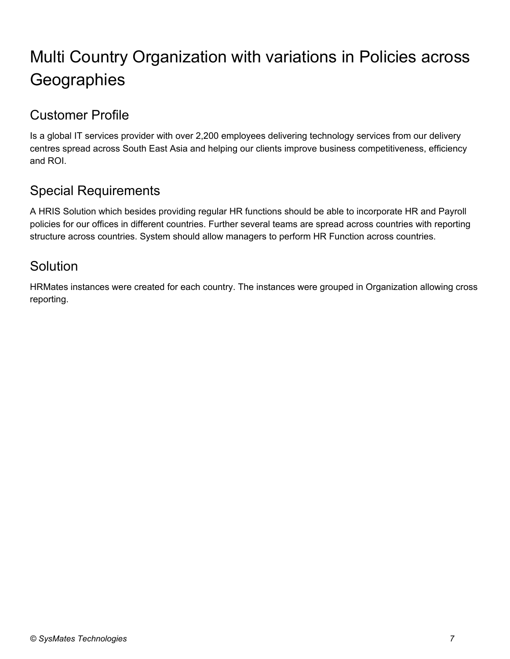## <span id="page-7-0"></span>Multi Country Organization with variations in Policies across **Geographies**

## Customer Profile

Is a global IT services provider with over 2,200 employees delivering technology services from our delivery centres spread across South East Asia and helping our clients improve business competitiveness, efficiency and ROI.

## Special Requirements

A HRIS Solution which besides providing regular HR functions should be able to incorporate HR and Payroll policies for our offices in different countries. Further several teams are spread across countries with reporting structure across countries. System should allow managers to perform HR Function across countries.

#### Solution

HRMates instances were created for each country. The instances were grouped in Organization allowing cross reporting.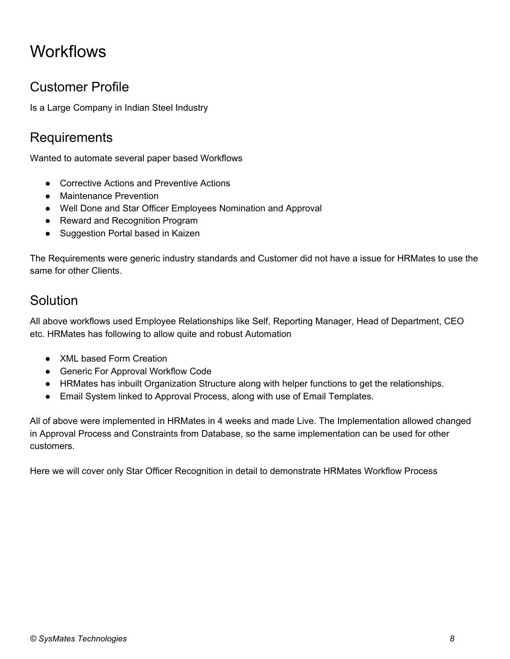## <span id="page-8-0"></span>**Workflows**

### Customer Profile

Is a Large Company in Indian Steel Industry

### **Requirements**

Wanted to automate several paper based Workflows

- Corrective Actions and Preventive Actions
- Maintenance Prevention
- Well Done and Star Officer Employees Nomination and Approval
- Reward and Recognition Program
- Suggestion Portal based in Kaizen

The Requirements were generic industry standards and Customer did not have a issue for HRMates to use the same for other Clients.

#### Solution

All above workflows used Employee Relationships like Self, Reporting Manager, Head of Department, CEO etc. HRMates has following to allow quite and robust Automation

- XML based Form Creation
- Generic For Approval Workflow Code
- HRMates has inbuilt Organization Structure along with helper functions to get the relationships.
- Email System linked to Approval Process, along with use of Email Templates.

All of above were implemented in HRMates in 4 weeks and made Live. The Implementation allowed changed in Approval Process and Constraints from Database, so the same implementation can be used for other customers.

Here we will cover only Star Officer Recognition in detail to demonstrate HRMates Workflow Process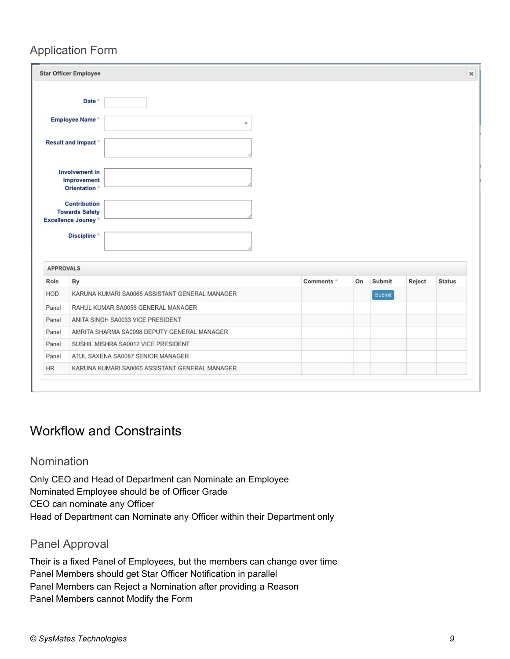#### Application Form

|                                                                                     | <b>Star Officer Employee</b>                              |                                                |            |    |        |        |               |
|-------------------------------------------------------------------------------------|-----------------------------------------------------------|------------------------------------------------|------------|----|--------|--------|---------------|
|                                                                                     | Date *                                                    |                                                |            |    |        |        |               |
|                                                                                     | Employee Name*                                            | $\overline{\mathbf{v}}$                        |            |    |        |        |               |
|                                                                                     | <b>Result and Impact*</b>                                 |                                                |            |    |        |        |               |
|                                                                                     | Involvement in<br>Improvement<br>Orientation <sup>*</sup> |                                                |            |    |        |        |               |
|                                                                                     | <b>Contribution</b><br><b>Towards Safety</b>              |                                                |            |    |        |        |               |
|                                                                                     | <b>Excellence Jouney*</b>                                 |                                                |            |    |        |        |               |
|                                                                                     | Discipline *                                              |                                                |            |    |        |        |               |
|                                                                                     |                                                           |                                                |            |    |        |        |               |
|                                                                                     | By                                                        |                                                | Comments * | On | Submit | Reject | <b>Status</b> |
|                                                                                     |                                                           | KARUNA KUMARI SA0065 ASSISTANT GENERAL MANAGER |            |    | Submit |        |               |
|                                                                                     |                                                           | RAHUL KUMAR SA0056 GENERAL MANAGER             |            |    |        |        |               |
|                                                                                     |                                                           | ANITA SINGH SA0033 VICE PRESIDENT              |            |    |        |        |               |
|                                                                                     |                                                           | AMRITA SHARMA SA0098 DEPUTY GENERAL MANAGER    |            |    |        |        |               |
|                                                                                     |                                                           | SUSHIL MISHRA SA0012 VICE PRESIDENT            |            |    |        |        |               |
| <b>APPROVALS</b><br>Role<br><b>HOD</b><br>Panel<br>Panel<br>Panel<br>Panel<br>Panel |                                                           | ATUL SAXENA SA0087 SENIOR MANAGER              |            |    |        |        |               |

#### Workflow and Constraints

#### Nomination

Only CEO and Head of Department can Nominate an Employee Nominated Employee should be of Officer Grade CEO can nominate any Officer Head of Department can Nominate any Officer within their Department only

#### Panel Approval

Their is a fixed Panel of Employees, but the members can change over time Panel Members should get Star Officer Notification in parallel Panel Members can Reject a Nomination after providing a Reason Panel Members cannot Modify the Form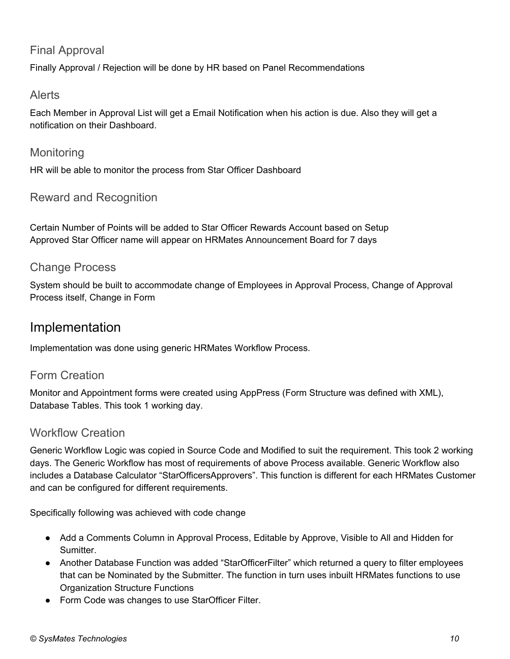#### Final Approval

Finally Approval / Rejection will be done by HR based on Panel Recommendations

#### Alerts

Each Member in Approval List will get a Email Notification when his action is due. Also they will get a notification on their Dashboard.

#### **Monitoring**

HR will be able to monitor the process from Star Officer Dashboard

#### Reward and Recognition

Certain Number of Points will be added to Star Officer Rewards Account based on Setup Approved Star Officer name will appear on HRMates Announcement Board for 7 days

#### Change Process

System should be built to accommodate change of Employees in Approval Process, Change of Approval Process itself, Change in Form

#### Implementation

Implementation was done using generic HRMates Workflow Process.

#### Form Creation

Monitor and Appointment forms were created using AppPress (Form Structure was defined with XML), Database Tables. This took 1 working day.

#### Workflow Creation

Generic Workflow Logic was copied in Source Code and Modified to suit the requirement. This took 2 working days. The Generic Workflow has most of requirements of above Process available. Generic Workflow also includes a Database Calculator "StarOfficersApprovers". This function is different for each HRMates Customer and can be configured for different requirements.

Specifically following was achieved with code change

- Add a Comments Column in Approval Process, Editable by Approve, Visible to All and Hidden for Sumitter.
- Another Database Function was added "StarOfficerFilter" which returned a query to filter employees that can be Nominated by the Submitter. The function in turn uses inbuilt HRMates functions to use Organization Structure Functions
- Form Code was changes to use StarOfficer Filter.